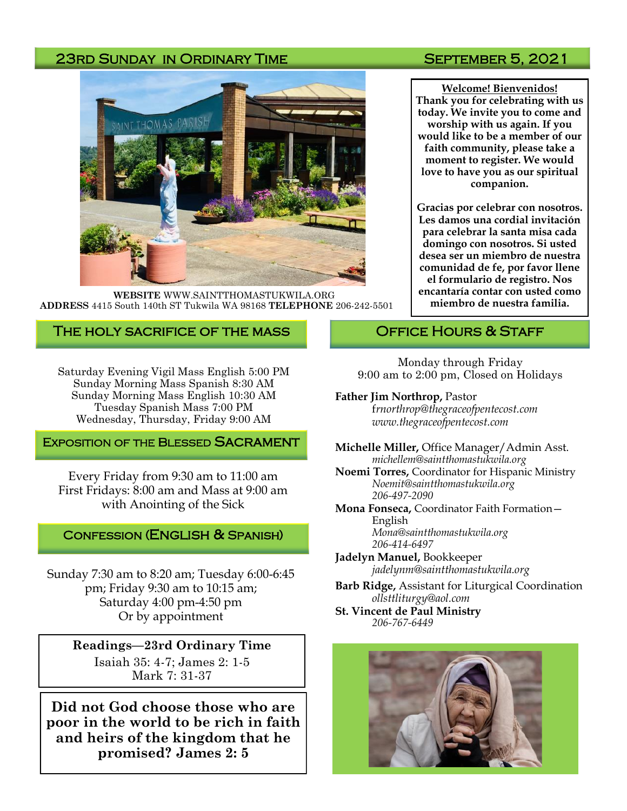### 23RD SUNDAY IN ORDINARY TIME SEPTEMBER 5, 2021



**WEBSITE** WWW.SAINTTHOMASTUKWILA.ORG **ADDRESS** 4415 South 140th ST Tukwila WA 98168 **TELEPHONE** 206-242-5501

**Welcome! Bienvenidos! Thank you for celebrating with us today. We invite you to come and worship with us again. If you would like to be a member of our faith community, please take a moment to register. We would love to have you as our spiritual companion.** 

**Gracias por celebrar con nosotros. Les damos una cordial invitación para celebrar la santa misa cada domingo con nosotros. Si usted desea ser un miembro de nuestra comunidad de fe, por favor llene el formulario de registro. Nos encantaría contar con usted como miembro de nuestra familia.**

#### The holy sacrifice of the mass

Saturday Evening Vigil Mass English 5:00 PM Sunday Morning Mass Spanish 8:30 AM Sunday Morning Mass English 10:30 AM Tuesday Spanish Mass 7:00 PM Wednesday, Thursday, Friday 9:00 AM

#### **EXPOSITION OF THE BLESSED SACRAMENT**

Every Friday from 9:30 am to 11:00 am First Fridays: 8:00 am and Mass at 9:00 am with Anointing of the Sick

#### Confession (English & Spanish)

Sunday 7:30 am to 8:20 am; Tuesday 6:00-6:45 pm; Friday 9:30 am to 10:15 am; Saturday 4:00 pm-4:50 pm Or by appointment

> **Readings—23rd Ordinary Time**  Isaiah 35: 4-7; James 2: 1-5 Mark 7: 31-37

**Did not God choose those who are poor in the world to be rich in faith and heirs of the kingdom that he promised? James 2: 5**

#### OFFICE HOURS & STAFF

Monday through Friday 9:00 am to 2:00 pm, Closed on Holidays

#### **Father Jim Northrop,** Pastor

f*rnorthrop@thegraceofpentecost.com www.thegraceofpentecost.com* 

**Michelle Miller,** Office Manager/Admin Asst. *michellem@saintthomastukwila.org*

**Noemi Torres,** Coordinator for Hispanic Ministry *Noemit@saintthomastukwila.org 206-497-2090*

**Mona Fonseca,** Coordinator Faith Formation— English *Mona@saintthomastukwila.org*

*206-414-6497* **Jadelyn Manuel,** Bookkeeper *jadelynm@saintthomastukwila.org*

**Barb Ridge,** Assistant for Liturgical Coordination *ollsttliturgy@aol.com*

**St. Vincent de Paul Ministry** *206-767-6449*

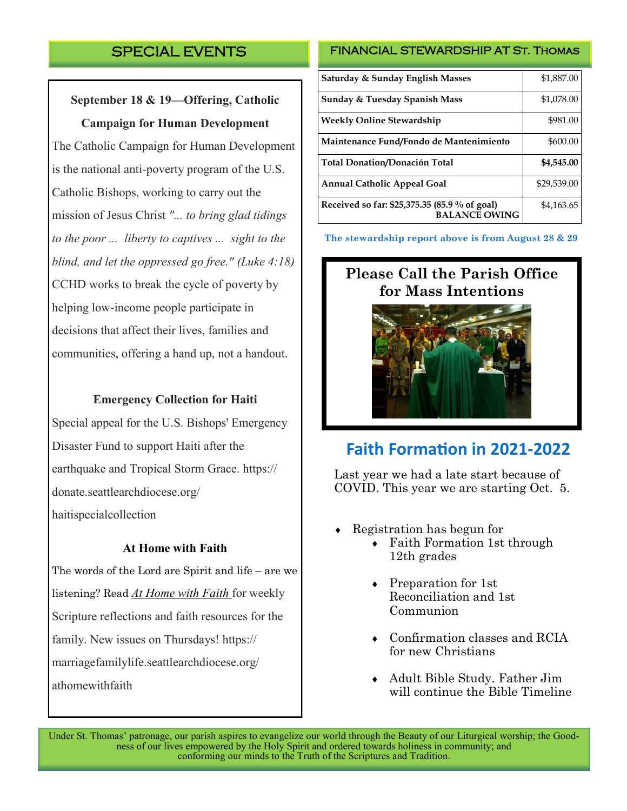### SPECIAL EVENTS

### **September 18 & 19—Offering, Catholic Campaign for Human Development**

The Catholic Campaign for Human Development is the national anti-poverty program of the U.S. Catholic Bishops, working to carry out the mission of Jesus Christ *"... to bring glad tidings to the poor ... liberty to captives ... sight to the blind, and let the oppressed go free." (Luke 4:18)*  CCHD works to break the cycle of poverty by helping low-income people participate in decisions that affect their lives, families and communities, offering a hand up, not a handout.

#### **Emergency Collection for Haiti**

Special appeal for the U.S. Bishops' Emergency Disaster Fund to support Haiti after the earthquake and Tropical Storm Grace. https:// donate.seattlearchdiocese.org/ haitispecialcollection

#### **At Home with Faith**

The words of the Lord are Spirit and life – are we listening? Read *[At Home with Faith](https://marriagefamilylife.seattlearchdiocese.org/athomewithfaith)* for weekly Scripture reflections and faith resources for the family. New issues on Thursdays! https:// marriagefamilylife.seattlearchdiocese.org/ athomewithfaith

### FINANCIAL STEWARDSHIP AT St. Thomas

| Saturday & Sunday English Masses                                      | \$1,887.00  |
|-----------------------------------------------------------------------|-------------|
| Sunday & Tuesday Spanish Mass                                         | \$1,078.00  |
| Weekly Online Stewardship                                             | \$981.00    |
| Maintenance Fund/Fondo de Mantenimiento                               | \$600.00    |
| <b>Total Donation/Donación Total</b>                                  | \$4,545.00  |
| <b>Annual Catholic Appeal Goal</b>                                    | \$29,539.00 |
| Received so far: \$25,375.35 (85.9 % of goal)<br><b>BALANCE OWING</b> | \$4,163.65  |

**The stewardship report above is from August 28 & 29**

### **Please Call the Parish Office for Mass Intentions**



# **Faith Formation in 2021-2022**

Last year we had a late start because of COVID. This year we are starting Oct. 5.

- Registration has begun for
	- Faith Formation 1st through 12th grades
	- Preparation for 1st Reconciliation and 1st Communion
	- Confirmation classes and RCIA for new Christians
	- Adult Bible Study. Father Jim will continue the Bible Timeline

Under St. Thomas' patronage, our parish aspires to evangelize our world through the Beauty of our Liturgical worship; the Goodness of our lives empowered by the Holy Spirit and ordered towards holiness in community; and conforming our minds to the Truth of the Scriptures and Tradition.